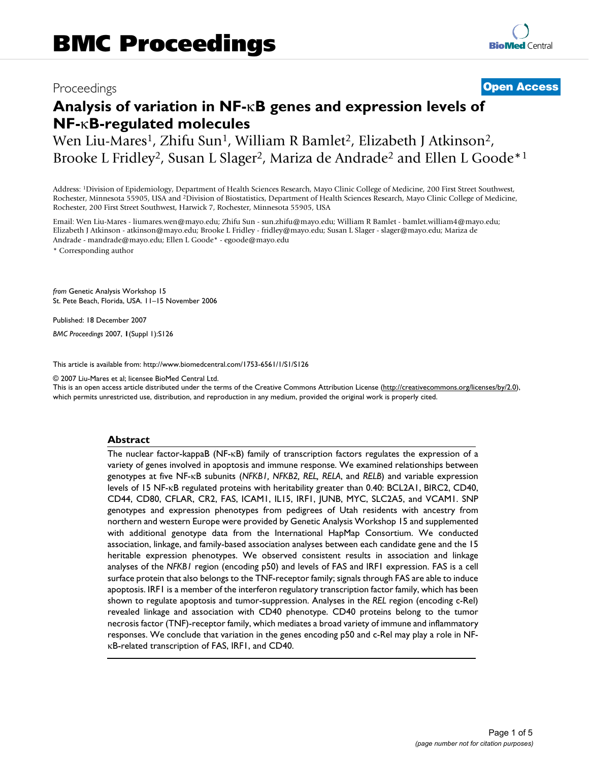# Proceedings **[Open Access](http://www.biomedcentral.com/info/about/charter/)**

# **Analysis of variation in NF-**κ**B genes and expression levels of NF-**κ**B-regulated molecules**

Wen Liu-Mares<sup>1</sup>, Zhifu Sun<sup>1</sup>, William R Bamlet<sup>2</sup>, Elizabeth J Atkinson<sup>2</sup>, Brooke L Fridley<sup>2</sup>, Susan L Slager<sup>2</sup>, Mariza de Andrade<sup>2</sup> and Ellen L Goode<sup>\*1</sup>

Address: 1Division of Epidemiology, Department of Health Sciences Research, Mayo Clinic College of Medicine, 200 First Street Southwest, Rochester, Minnesota 55905, USA and 2Division of Biostatistics, Department of Health Sciences Research, Mayo Clinic College of Medicine, Rochester, 200 First Street Southwest, Harwick 7, Rochester, Minnesota 55905, USA

Email: Wen Liu-Mares - liumares.wen@mayo.edu; Zhifu Sun - sun.zhifu@mayo.edu; William R Bamlet - bamlet.william4@mayo.edu; Elizabeth J Atkinson - atkinson@mayo.edu; Brooke L Fridley - fridley@mayo.edu; Susan L Slager - slager@mayo.edu; Mariza de Andrade - mandrade@mayo.edu; Ellen L Goode\* - egoode@mayo.edu

\* Corresponding author

*from* Genetic Analysis Workshop 15 St. Pete Beach, Florida, USA. 11–15 November 2006

Published: 18 December 2007

*BMC Proceedings* 2007, **1**(Suppl 1):S126

[This article is available from: http://www.biomedcentral.com/1753-6561/1/S1/S126](http://www.biomedcentral.com/1753-6561/1/S1/S126)

© 2007 Liu-Mares et al; licensee BioMed Central Ltd.

This is an open access article distributed under the terms of the Creative Commons Attribution License [\(http://creativecommons.org/licenses/by/2.0\)](http://creativecommons.org/licenses/by/2.0), which permits unrestricted use, distribution, and reproduction in any medium, provided the original work is properly cited.

# **Abstract**

The nuclear factor-kappaB (NF-κB) family of transcription factors regulates the expression of a variety of genes involved in apoptosis and immune response. We examined relationships between genotypes at five NF-κB subunits (*NFKB1, NFKB2, REL, RELA*, and *RELB*) and variable expression levels of 15 NF-κB regulated proteins with heritability greater than 0.40: BCL2A1, BIRC2, CD40, CD44, CD80, CFLAR, CR2, FAS, ICAM1, IL15, IRF1, JUNB, MYC, SLC2A5, and VCAM1. SNP genotypes and expression phenotypes from pedigrees of Utah residents with ancestry from northern and western Europe were provided by Genetic Analysis Workshop 15 and supplemented with additional genotype data from the International HapMap Consortium. We conducted association, linkage, and family-based association analyses between each candidate gene and the 15 heritable expression phenotypes. We observed consistent results in association and linkage analyses of the *NFKB1* region (encoding p50) and levels of FAS and IRF1 expression. FAS is a cell surface protein that also belongs to the TNF-receptor family; signals through FAS are able to induce apoptosis. IRF1 is a member of the interferon regulatory transcription factor family, which has been shown to regulate apoptosis and tumor-suppression. Analyses in the *REL* region (encoding c-Rel) revealed linkage and association with CD40 phenotype. CD40 proteins belong to the tumor necrosis factor (TNF)-receptor family, which mediates a broad variety of immune and inflammatory responses. We conclude that variation in the genes encoding p50 and c-Rel may play a role in NFκB-related transcription of FAS, IRF1, and CD40.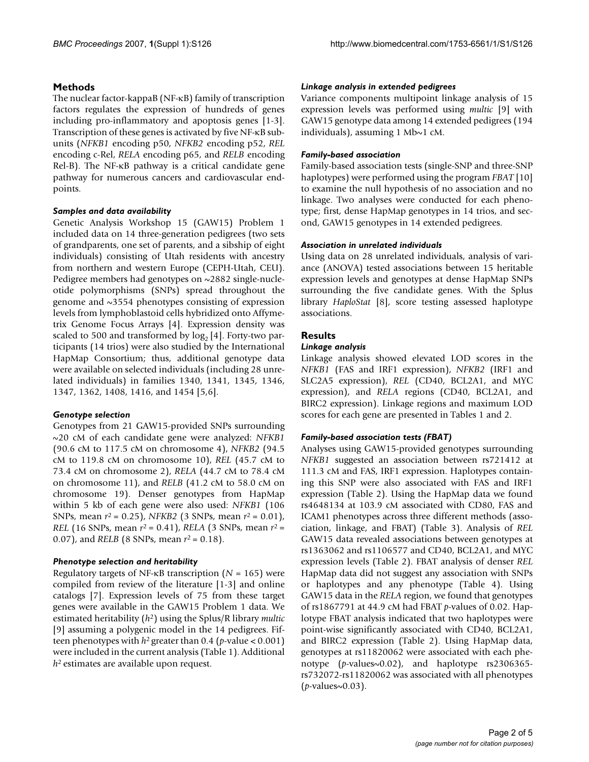# **Methods**

The nuclear factor-kappaB (NF-κB) family of transcription factors regulates the expression of hundreds of genes including pro-inflammatory and apoptosis genes [1-3]. Transcription of these genes is activated by five NF-κB subunits (*NFKB1* encoding p50, *NFKB2* encoding p52, *REL* encoding c-Rel, *RELA* encoding p65, and *RELB* encoding Rel-B). The NF-κB pathway is a critical candidate gene pathway for numerous cancers and cardiovascular endpoints.

# *Samples and data availability*

Genetic Analysis Workshop 15 (GAW15) Problem 1 included data on 14 three-generation pedigrees (two sets of grandparents, one set of parents, and a sibship of eight individuals) consisting of Utah residents with ancestry from northern and western Europe (CEPH-Utah, CEU). Pedigree members had genotypes on ~2882 single-nucleotide polymorphisms (SNPs) spread throughout the genome and ~3554 phenotypes consisting of expression levels from lymphoblastoid cells hybridized onto Affymetrix Genome Focus Arrays [4]. Expression density was scaled to 500 and transformed by  $log_2$  [4]. Forty-two participants (14 trios) were also studied by the International HapMap Consortium; thus, additional genotype data were available on selected individuals (including 28 unrelated individuals) in families 1340, 1341, 1345, 1346, 1347, 1362, 1408, 1416, and 1454 [5,6].

# *Genotype selection*

Genotypes from 21 GAW15-provided SNPs surrounding ~20 cM of each candidate gene were analyzed: *NFKB1* (90.6 cM to 117.5 cM on chromosome 4), *NFKB2* (94.5 cM to 119.8 cM on chromosome 10), *REL* (45.7 cM to 73.4 cM on chromosome 2), *RELA* (44.7 cM to 78.4 cM on chromosome 11), and *RELB* (41.2 cM to 58.0 cM on chromosome 19). Denser genotypes from HapMap within 5 kb of each gene were also used: *NFKB1* (106 SNPs, mean *r*2 = 0.25), *NFKB2* (3 SNPs, mean *r*2 = 0.01), *REL* (16 SNPs, mean *r*2 = 0.41), *RELA* (3 SNPs, mean *r*2 = 0.07), and *RELB* (8 SNPs, mean *r*2 = 0.18).

# *Phenotype selection and heritability*

Regulatory targets of NF-κB transcription (*N* = 165) were compiled from review of the literature [1-3] and online catalogs [7]. Expression levels of 75 from these target genes were available in the GAW15 Problem 1 data. We estimated heritability (*h*2) using the Splus/R library *multic* [9] assuming a polygenic model in the 14 pedigrees. Fifteen phenotypes with  $h^2$  greater than 0.4 (*p*-value < 0.001) were included in the current analysis (Table 1). Additional *h*2 estimates are available upon request.

# *Linkage analysis in extended pedigrees*

Variance components multipoint linkage analysis of 15 expression levels was performed using *multic* [9] with GAW15 genotype data among 14 extended pedigrees (194 individuals), assuming 1 Mb~1 cM.

# *Family-based association*

Family-based association tests (single-SNP and three-SNP haplotypes) were performed using the program *FBAT* [10] to examine the null hypothesis of no association and no linkage. Two analyses were conducted for each phenotype; first, dense HapMap genotypes in 14 trios, and second, GAW15 genotypes in 14 extended pedigrees.

# *Association in unrelated individuals*

Using data on 28 unrelated individuals, analysis of variance (ANOVA) tested associations between 15 heritable expression levels and genotypes at dense HapMap SNPs surrounding the five candidate genes. With the Splus library *HaploStat* [8], score testing assessed haplotype associations.

# **Results**

# *Linkage analysis*

Linkage analysis showed elevated LOD scores in the *NFKB1* (FAS and IRF1 expression), *NFKB2* (IRF1 and SLC2A5 expression), *REL* (CD40, BCL2A1, and MYC expression), and *RELA* regions (CD40, BCL2A1, and BIRC2 expression). Linkage regions and maximum LOD scores for each gene are presented in Tables 1 and 2.

# *Family-based association tests (FBAT)*

Analyses using GAW15-provided genotypes surrounding *NFKB1* suggested an association between rs721412 at 111.3 cM and FAS, IRF1 expression. Haplotypes containing this SNP were also associated with FAS and IRF1 expression (Table 2). Using the HapMap data we found rs4648134 at 103.9 cM associated with CD80, FAS and ICAM1 phenotypes across three different methods (association, linkage, and FBAT) (Table 3). Analysis of *REL* GAW15 data revealed associations between genotypes at rs1363062 and rs1106577 and CD40, BCL2A1, and MYC expression levels (Table 2). FBAT analysis of denser *REL* HapMap data did not suggest any association with SNPs or haplotypes and any phenotype (Table 4). Using GAW15 data in the *RELA* region, we found that genotypes of rs1867791 at 44.9 cM had FBAT *p*-values of 0.02. Haplotype FBAT analysis indicated that two haplotypes were point-wise significantly associated with CD40, BCL2A1, and BIRC2 expression (Table 2). Using HapMap data, genotypes at rs11820062 were associated with each phenotype (*p*-values~0.02), and haplotype rs2306365 rs732072-rs11820062 was associated with all phenotypes (*p*-values~0.03).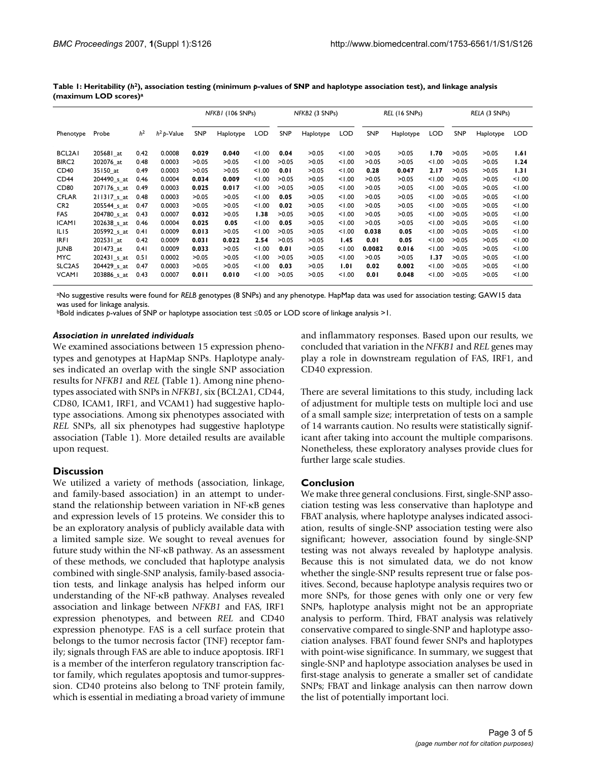|                                 |                         |                |               | NFKBI (106 SNPs) |           | NFKB2 (3 SNPs) |            | REL (16 SNPs) |            |            | RELA (3 SNPs) |        |            |           |      |
|---------------------------------|-------------------------|----------------|---------------|------------------|-----------|----------------|------------|---------------|------------|------------|---------------|--------|------------|-----------|------|
| Phenotype                       | Probe                   | h <sup>2</sup> | $h^2$ p-Value | <b>SNP</b>       | Haplotype | <b>LOD</b>     | <b>SNP</b> | Haplotype     | <b>LOD</b> | <b>SNP</b> | Haplotype     | LOD    | <b>SNP</b> | Haplotype | LOD  |
| BCL2AI                          | 205681 at               | 0.42           | 0.0008        | 0.029            | 0.040     | 1.00           | 0.04       | >0.05         | < 1.00     | >0.05      | >0.05         | 1.70   | >0.05      | >0.05     | 1.61 |
| BIRC <sub>2</sub>               | 202076 at               | 0.48           | 0.0003        | >0.05            | >0.05     | 1.00           | >0.05      | >0.05         | < 1.00     | >0.05      | >0.05         | < 1.00 | >0.05      | >0.05     | 1.24 |
| CD40                            | 35150 at                | 0.49           | 0.0003        | >0.05            | >0.05     | 1.00           | 0.01       | >0.05         | < 1.00     | 0.28       | 0.047         | 2.17   | >0.05      | >0.05     | 1.31 |
| CD44                            | 204490_s_at             | 0.46           | 0.0004        | 0.034            | 0.009     | 1.00           | >0.05      | >0.05         | 1.00       | >0.05      | >0.05         | < 1.00 | >0.05      | >0.05     | 1.00 |
| CD80                            | 207176 <sub>_5_at</sub> | 0.49           | 0.0003        | 0.025            | 0.017     | 1.00           | >0.05      | >0.05         | < 1.00     | >0.05      | >0.05         | < 1.00 | >0.05      | >0.05     | 1.00 |
| <b>CFLAR</b>                    | 211317 s at             | 0.48           | 0.0003        | >0.05            | >0.05     | 1.00           | 0.05       | >0.05         | < 1.00     | >0.05      | >0.05         | < 1.00 | >0.05      | >0.05     | 1.00 |
| CR <sub>2</sub>                 | 205544 s at             | 0.47           | 0.0003        | >0.05            | >0.05     | 1.00           | 0.02       | >0.05         | 1.00       | >0.05      | >0.05         | < 1.00 | >0.05      | >0.05     | 1.00 |
| <b>FAS</b>                      | 204780_s_at             | 0.43           | 0.0007        | 0.032            | >0.05     | 1.38           | >0.05      | >0.05         | < 1.00     | >0.05      | >0.05         | < 1.00 | >0.05      | >0.05     | 1.00 |
| <b>ICAMI</b>                    | 202638_s_at             | 0.46           | 0.0004        | 0.025            | 0.05      | 1.00           | 0.05       | >0.05         | < 1.00     | >0.05      | >0.05         | < 1.00 | >0.05      | >0.05     | 1.00 |
| ILI <sub>5</sub>                | 205992_s_at             | 0.41           | 0.0009        | 0.013            | >0.05     | 1.00           | >0.05      | >0.05         | < 1.00     | 0.038      | 0.05          | < 1.00 | >0.05      | >0.05     | 1.00 |
| <b>IRFI</b>                     | 202531_at               | 0.42           | 0.0009        | 0.031            | 0.022     | 2.54           | >0.05      | >0.05         | 1.45       | 0.01       | 0.05          | < 1.00 | >0.05      | >0.05     | 1.00 |
| <b>JUNB</b>                     | 201473 at               | 0.41           | 0.0009        | 0.033            | >0.05     | 1.00           | 0.01       | >0.05         | < 1.00     | 0.0082     | 0.016         | < 1.00 | >0.05      | >0.05     | 1.00 |
| <b>MYC</b>                      | 202431_s_at             | 0.51           | 0.0002        | >0.05            | >0.05     | 1.00           | >0.05      | >0.05         | 1.00       | >0.05      | >0.05         | 1.37   | >0.05      | >0.05     | 1.00 |
| SLC <sub>2</sub> A <sub>5</sub> | 204429 s at             | 0.47           | 0.0003        | >0.05            | >0.05     | < 1.00         | 0.03       | >0.05         | 1.01       | 0.02       | 0.002         | < 1.00 | >0.05      | >0.05     | 1.00 |
| <b>VCAMI</b>                    | 203886_s_at             | 0.43           | 0.0007        | 0.011            | 0.010     | 1.00           | >0.05      | >0.05         | 1.00       | 0.01       | 0.048         | 1.00   | >0.05      | >0.05     | 1.00 |

**Table 1: Heritability (***h***2), association testing (minimum** *p***-values of SNP and haplotype association test), and linkage analysis (maximum LOD scores)a**

aNo suggestive results were found for *RELB* genotypes (8 SNPs) and any phenotype. HapMap data was used for association testing; GAW15 data was used for linkage analysis.

bBold indicates *p*-values of SNP or haplotype association test ≤0.05 or LOD score of linkage analysis >1.

### *Association in unrelated individuals*

We examined associations between 15 expression phenotypes and genotypes at HapMap SNPs. Haplotype analyses indicated an overlap with the single SNP association results for *NFKB1* and *REL* (Table 1). Among nine phenotypes associated with SNPs in *NFKB1*, six (BCL2A1, CD44, CD80, ICAM1, IRF1, and VCAM1) had suggestive haplotype associations. Among six phenotypes associated with *REL* SNPs, all six phenotypes had suggestive haplotype association (Table 1). More detailed results are available upon request.

# **Discussion**

We utilized a variety of methods (association, linkage, and family-based association) in an attempt to understand the relationship between variation in NF-κB genes and expression levels of 15 proteins. We consider this to be an exploratory analysis of publicly available data with a limited sample size. We sought to reveal avenues for future study within the NF-κB pathway. As an assessment of these methods, we concluded that haplotype analysis combined with single-SNP analysis, family-based association tests, and linkage analysis has helped inform our understanding of the NF-κB pathway. Analyses revealed association and linkage between *NFKB1* and FAS, IRF1 expression phenotypes, and between *REL* and CD40 expression phenotype. FAS is a cell surface protein that belongs to the tumor necrosis factor (TNF) receptor family; signals through FAS are able to induce apoptosis. IRF1 is a member of the interferon regulatory transcription factor family, which regulates apoptosis and tumor-suppression. CD40 proteins also belong to TNF protein family, which is essential in mediating a broad variety of immune

and inflammatory responses. Based upon our results, we concluded that variation in the *NFKB1* and *REL* genes may play a role in downstream regulation of FAS, IRF1, and CD40 expression.

There are several limitations to this study, including lack of adjustment for multiple tests on multiple loci and use of a small sample size; interpretation of tests on a sample of 14 warrants caution. No results were statistically significant after taking into account the multiple comparisons. Nonetheless, these exploratory analyses provide clues for further large scale studies.

# **Conclusion**

We make three general conclusions. First, single-SNP association testing was less conservative than haplotype and FBAT analysis, where haplotype analyses indicated association, results of single-SNP association testing were also significant; however, association found by single-SNP testing was not always revealed by haplotype analysis. Because this is not simulated data, we do not know whether the single-SNP results represent true or false positives. Second, because haplotype analysis requires two or more SNPs, for those genes with only one or very few SNPs, haplotype analysis might not be an appropriate analysis to perform. Third, FBAT analysis was relatively conservative compared to single-SNP and haplotype association analyses. FBAT found fewer SNPs and haplotypes with point-wise significance. In summary, we suggest that single-SNP and haplotype association analyses be used in first-stage analysis to generate a smaller set of candidate SNPs; FBAT and linkage analysis can then narrow down the list of potentially important loci.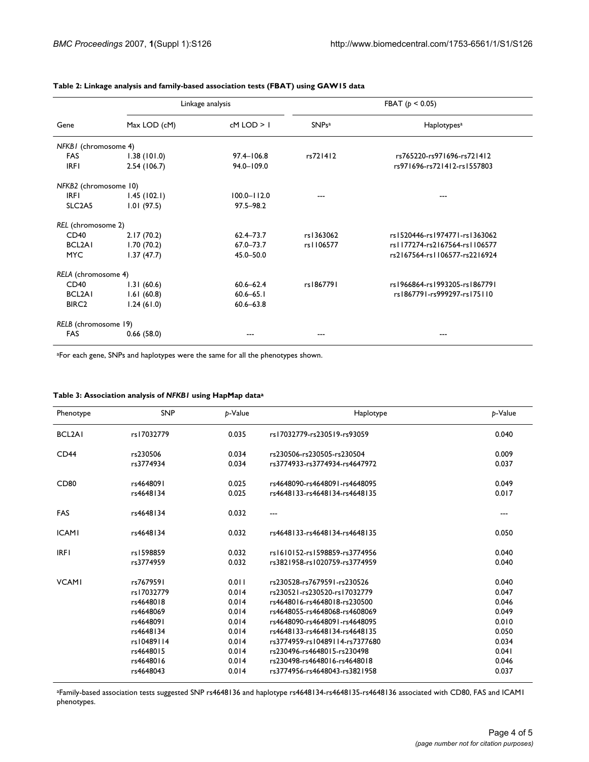|                                 |              | Linkage analysis | FBAT ( $p < 0.05$ ) |                               |  |
|---------------------------------|--------------|------------------|---------------------|-------------------------------|--|
| Gene                            | Max LOD (cM) | $cM$ LOD $>1$    | <b>SNPsa</b>        | Haplotypes <sup>a</sup>       |  |
| NFKBI (chromosome 4)            |              |                  |                     |                               |  |
| <b>FAS</b>                      | 1.38(101.0)  | $97.4 - 106.8$   | rs721412            | rs765220-rs971696-rs721412    |  |
| <b>IRFI</b>                     | 2.54(106.7)  | 94.0-109.0       |                     | rs971696-rs721412-rs1557803   |  |
| NFKB2 (chromosome 10)           |              |                  |                     |                               |  |
| <b>IRFI</b>                     | 1.45(102.1)  | $100.0 - 112.0$  |                     |                               |  |
| SLC <sub>2</sub> A <sub>5</sub> | 1.01(97.5)   | $97.5 - 98.2$    |                     |                               |  |
| REL (chromosome 2)              |              |                  |                     |                               |  |
| CD40                            | 2.17(70.2)   | $62.4 - 73.7$    | rs1363062           | rs1520446-rs1974771-rs1363062 |  |
| BCL2A1                          | 1.70(70.2)   | $67.0 - 73.7$    | rs1106577           | rs1177274-rs2167564-rs1106577 |  |
| <b>MYC</b>                      | 1.37(47.7)   | 45.0-50.0        |                     | rs2167564-rs1106577-rs2216924 |  |
| RELA (chromosome 4)             |              |                  |                     |                               |  |
| CD40                            | 1.31(60.6)   | $60.6 - 62.4$    | rs1867791           | rs1966864-rs1993205-rs1867791 |  |
| BCL2A1                          | 1.61(60.8)   | $60.6 - 65.1$    |                     | rs1867791-rs999297-rs175110   |  |
| BIRC <sub>2</sub>               | 1.24(61.0)   | $60.6 - 63.8$    |                     |                               |  |
| RELB (chromosome 19)            |              |                  |                     |                               |  |
| <b>FAS</b>                      | 0.66(58.0)   |                  |                     |                               |  |

### **Table 2: Linkage analysis and family-based association tests (FBAT) using GAW15 data**

aFor each gene, SNPs and haplotypes were the same for all the phenotypes shown.

| Table 3: Association analysis of NFKBI using HapMap dataª |  |  |  |
|-----------------------------------------------------------|--|--|--|
|-----------------------------------------------------------|--|--|--|

| Phenotype           | <b>SNP</b> | p-Value | Haplotype                      | b-Value |
|---------------------|------------|---------|--------------------------------|---------|
| BCL <sub>2</sub> AI | rs17032779 | 0.035   | rs17032779-rs230519-rs93059    | 0.040   |
| CD44                | rs230506   | 0.034   | rs230506-rs230505-rs230504     | 0.009   |
|                     | rs3774934  | 0.034   | rs3774933-rs3774934-rs4647972  | 0.037   |
| CD <sub>80</sub>    | rs4648091  | 0.025   | rs4648090-rs4648091-rs4648095  | 0.049   |
|                     | rs4648134  | 0.025   | rs4648133-rs4648134-rs4648135  | 0.017   |
| <b>FAS</b>          | rs4648134  | 0.032   | $---$                          | ---     |
| <b>ICAMI</b>        | rs4648134  | 0.032   | rs4648133-rs4648134-rs4648135  | 0.050   |
| <b>IRFI</b>         | rs1598859  | 0.032   | rs1610152-rs1598859-rs3774956  | 0.040   |
|                     | rs3774959  | 0.032   | rs3821958-rs1020759-rs3774959  | 0.040   |
| <b>VCAMI</b>        | rs7679591  | 0.011   | rs230528-rs7679591-rs230526    | 0.040   |
|                     | rs17032779 | 0.014   | rs230521-rs230520-rs17032779   | 0.047   |
|                     | rs4648018  | 0.014   | rs4648016-rs4648018-rs230500   | 0.046   |
|                     | rs4648069  | 0.014   | rs4648055-rs4648068-rs4608069  | 0.049   |
|                     | rs4648091  | 0.014   | rs4648090-rs4648091-rs4648095  | 0.010   |
|                     | rs4648134  | 0.014   | rs4648133-rs4648134-rs4648135  | 0.050   |
|                     | rs10489114 | 0.014   | rs3774959-rs10489114-rs7377680 | 0.034   |
|                     | rs4648015  | 0.014   | rs230496-rs4648015-rs230498    | 0.041   |
|                     | rs4648016  | 0.014   | rs230498-rs4648016-rs4648018   | 0.046   |
|                     | rs4648043  | 0.014   | rs3774956-rs4648043-rs3821958  | 0.037   |

aFamily-based association tests suggested SNP rs4648136 and haplotype rs4648134-rs4648135-rs4648136 associated with CD80, FAS and ICAM1 phenotypes.